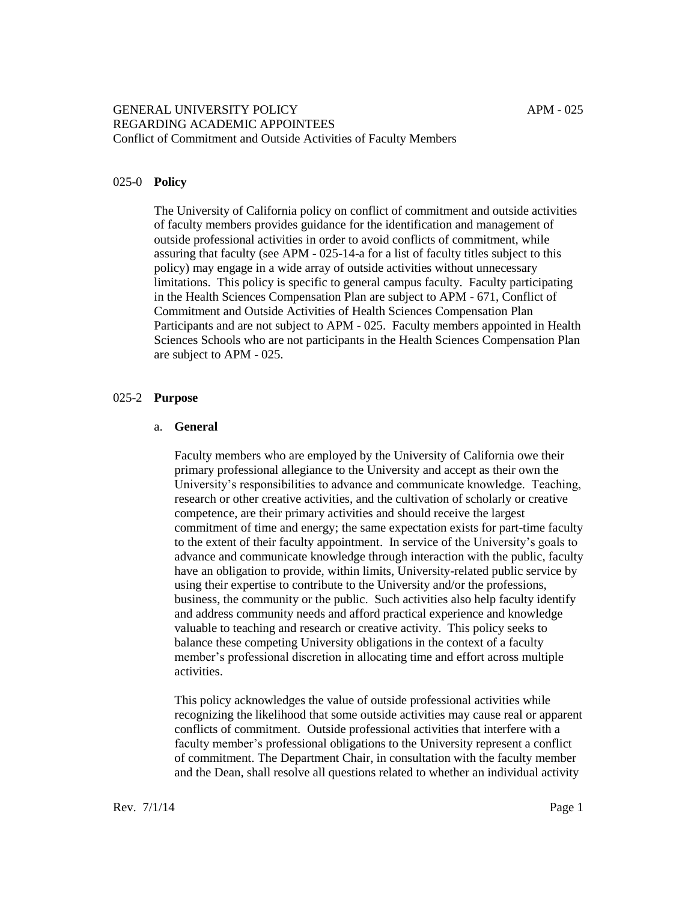#### 025-0 **Policy**

The University of California policy on conflict of commitment and outside activities of faculty members provides guidance for the identification and management of outside professional activities in order to avoid conflicts of commitment, while assuring that faculty (see APM - 025-14-a for a list of faculty titles subject to this policy) may engage in a wide array of outside activities without unnecessary limitations. This policy is specific to general campus faculty. Faculty participating in the Health Sciences Compensation Plan are subject to APM - 671, Conflict of Commitment and Outside Activities of Health Sciences Compensation Plan Participants and are not subject to APM - 025. Faculty members appointed in Health Sciences Schools who are not participants in the Health Sciences Compensation Plan are subject to APM - 025.

#### 025-2 **Purpose**

#### a. **General**

Faculty members who are employed by the University of California owe their primary professional allegiance to the University and accept as their own the University's responsibilities to advance and communicate knowledge. Teaching, research or other creative activities, and the cultivation of scholarly or creative competence, are their primary activities and should receive the largest commitment of time and energy; the same expectation exists for part-time faculty to the extent of their faculty appointment. In service of the University's goals to advance and communicate knowledge through interaction with the public, faculty have an obligation to provide, within limits, University-related public service by using their expertise to contribute to the University and/or the professions, business, the community or the public. Such activities also help faculty identify and address community needs and afford practical experience and knowledge valuable to teaching and research or creative activity. This policy seeks to balance these competing University obligations in the context of a faculty member's professional discretion in allocating time and effort across multiple activities.

This policy acknowledges the value of outside professional activities while recognizing the likelihood that some outside activities may cause real or apparent conflicts of commitment. Outside professional activities that interfere with a faculty member's professional obligations to the University represent a conflict of commitment. The Department Chair, in consultation with the faculty member and the Dean, shall resolve all questions related to whether an individual activity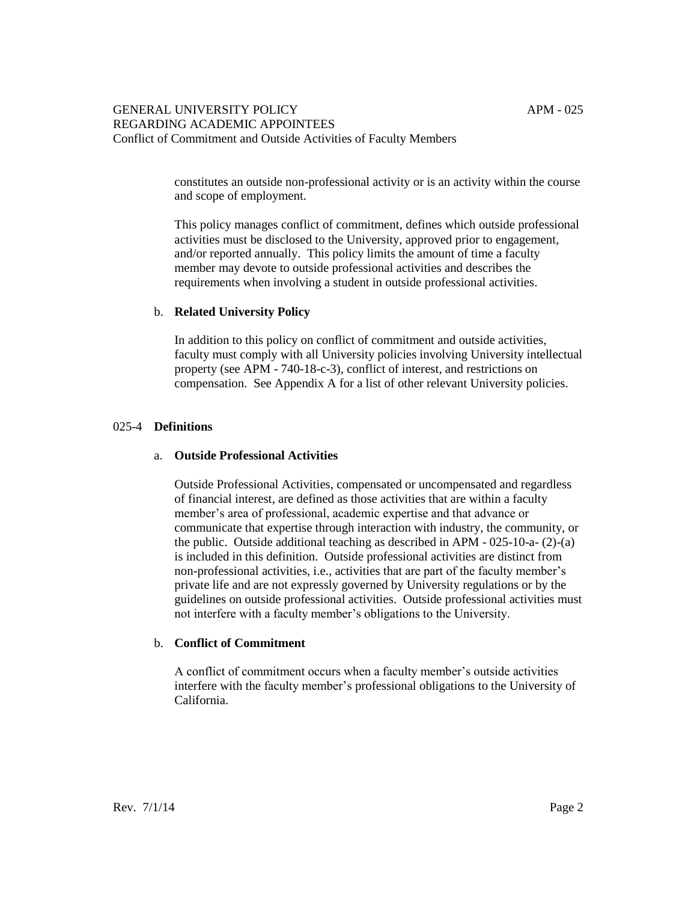constitutes an outside non-professional activity or is an activity within the course and scope of employment.

This policy manages conflict of commitment, defines which outside professional activities must be disclosed to the University, approved prior to engagement, and/or reported annually. This policy limits the amount of time a faculty member may devote to outside professional activities and describes the requirements when involving a student in outside professional activities.

### b. **Related University Policy**

In addition to this policy on conflict of commitment and outside activities, faculty must comply with all University policies involving University intellectual property (see APM - 740-18-c-3), conflict of interest, and restrictions on compensation. See Appendix A for a list of other relevant University policies.

### 025-4 **Definitions**

#### a. **Outside Professional Activities**

Outside Professional Activities, compensated or uncompensated and regardless of financial interest, are defined as those activities that are within a faculty member's area of professional, academic expertise and that advance or communicate that expertise through interaction with industry, the community, or the public. Outside additional teaching as described in APM - 025-10-a- (2)-(a) is included in this definition. Outside professional activities are distinct from non-professional activities, i.e., activities that are part of the faculty member's private life and are not expressly governed by University regulations or by the guidelines on outside professional activities. Outside professional activities must not interfere with a faculty member's obligations to the University.

#### b. **Conflict of Commitment**

A conflict of commitment occurs when a faculty member's outside activities interfere with the faculty member's professional obligations to the University of California.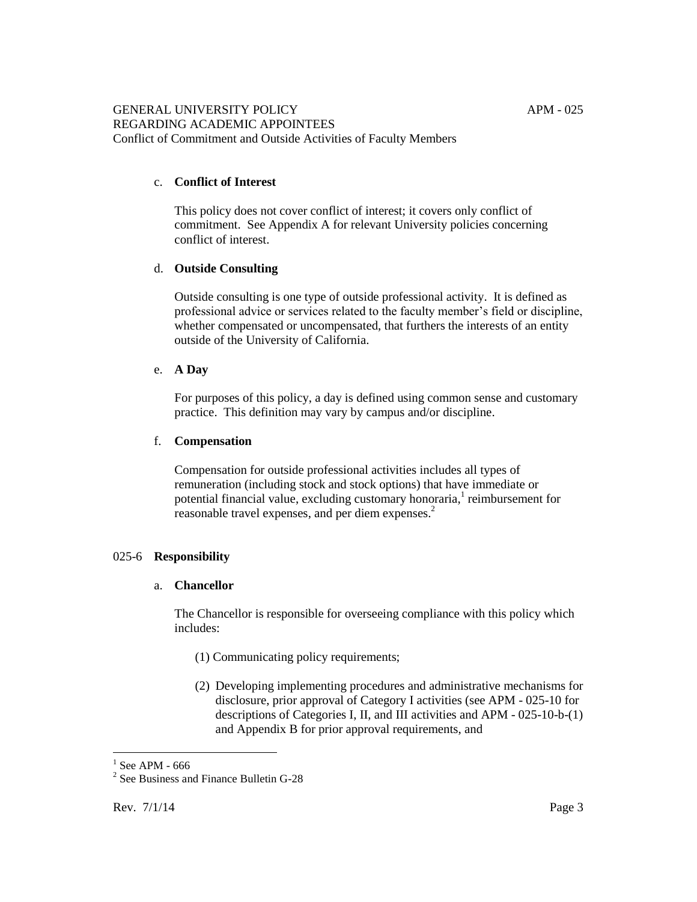# c. **Conflict of Interest**

This policy does not cover conflict of interest; it covers only conflict of commitment. See Appendix A for relevant University policies concerning conflict of interest.

### d. **Outside Consulting**

Outside consulting is one type of outside professional activity. It is defined as professional advice or services related to the faculty member's field or discipline, whether compensated or uncompensated, that furthers the interests of an entity outside of the University of California.

#### e. **A Day**

For purposes of this policy, a day is defined using common sense and customary practice. This definition may vary by campus and/or discipline.

### f. **Compensation**

Compensation for outside professional activities includes all types of remuneration (including stock and stock options) that have immediate or potential financial value, excluding customary honoraria,<sup>1</sup> reimbursement for reasonable travel expenses, and per diem expenses.<sup>2</sup>

# 025-6 **Responsibility**

# a. **Chancellor**

The Chancellor is responsible for overseeing compliance with this policy which includes:

- (1) Communicating policy requirements;
- (2) Developing implementing procedures and administrative mechanisms for disclosure, prior approval of Category I activities (see APM - 025-10 for descriptions of Categories I, II, and III activities and APM - 025-10-b-(1) and Appendix B for prior approval requirements, and

 $<sup>1</sup>$  See APM - 666</sup>

<sup>&</sup>lt;sup>2</sup> See Business and Finance Bulletin G-28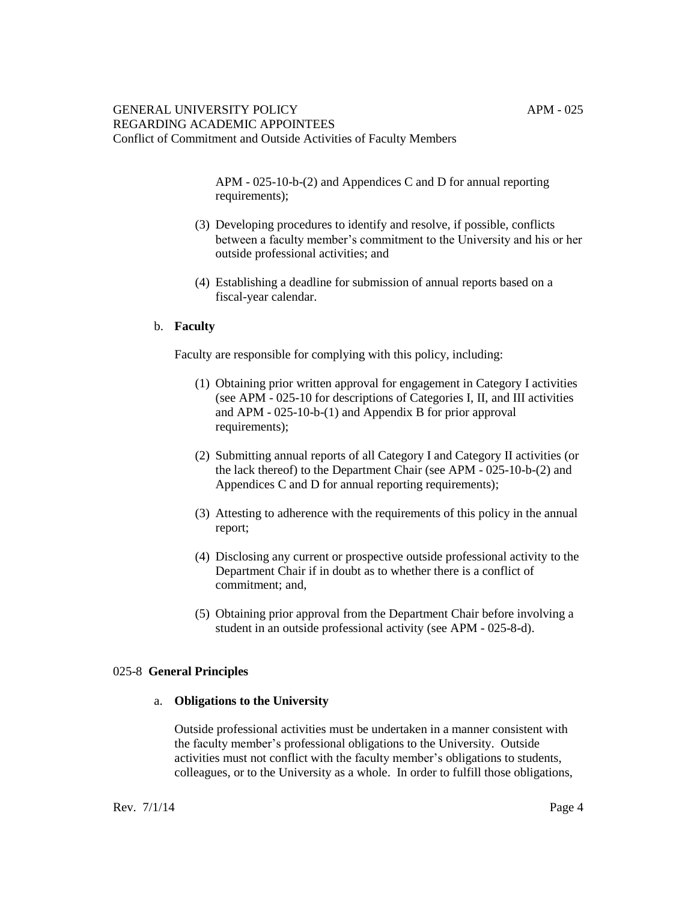APM - 025-10-b-(2) and Appendices C and D for annual reporting requirements);

- (3) Developing procedures to identify and resolve, if possible, conflicts between a faculty member's commitment to the University and his or her outside professional activities; and
- (4) Establishing a deadline for submission of annual reports based on a fiscal-year calendar.

## b. **Faculty**

Faculty are responsible for complying with this policy, including:

- (1) Obtaining prior written approval for engagement in Category I activities (see APM - 025-10 for descriptions of Categories I, II, and III activities and APM - 025-10-b-(1) and Appendix B for prior approval requirements);
- (2) Submitting annual reports of all Category I and Category II activities (or the lack thereof) to the Department Chair (see APM - 025-10-b-(2) and Appendices C and D for annual reporting requirements);
- (3) Attesting to adherence with the requirements of this policy in the annual report;
- (4) Disclosing any current or prospective outside professional activity to the Department Chair if in doubt as to whether there is a conflict of commitment; and,
- (5) Obtaining prior approval from the Department Chair before involving a student in an outside professional activity (see APM - 025-8-d).

#### 025-8 **General Principles**

#### a. **Obligations to the University**

Outside professional activities must be undertaken in a manner consistent with the faculty member's professional obligations to the University. Outside activities must not conflict with the faculty member's obligations to students, colleagues, or to the University as a whole. In order to fulfill those obligations,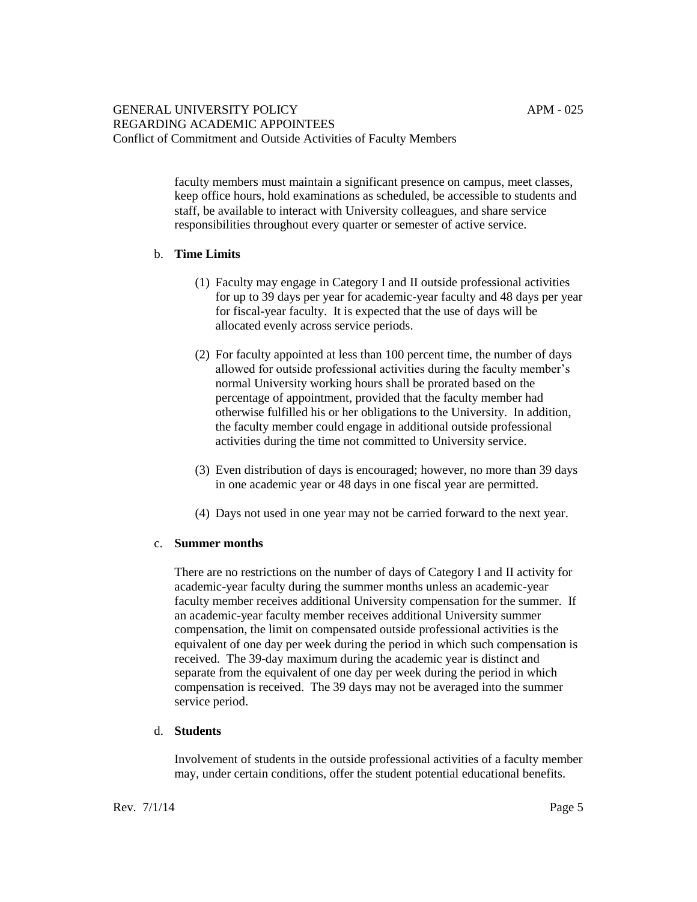faculty members must maintain a significant presence on campus, meet classes, keep office hours, hold examinations as scheduled, be accessible to students and staff, be available to interact with University colleagues, and share service responsibilities throughout every quarter or semester of active service.

# b. **Time Limits**

- (1) Faculty may engage in Category I and II outside professional activities for up to 39 days per year for academic-year faculty and 48 days per year for fiscal-year faculty. It is expected that the use of days will be allocated evenly across service periods.
- (2) For faculty appointed at less than 100 percent time, the number of days allowed for outside professional activities during the faculty member's normal University working hours shall be prorated based on the percentage of appointment, provided that the faculty member had otherwise fulfilled his or her obligations to the University. In addition, the faculty member could engage in additional outside professional activities during the time not committed to University service.
- (3) Even distribution of days is encouraged; however, no more than 39 days in one academic year or 48 days in one fiscal year are permitted.
- (4) Days not used in one year may not be carried forward to the next year.

#### c. **Summer months**

There are no restrictions on the number of days of Category I and II activity for academic-year faculty during the summer months unless an academic-year faculty member receives additional University compensation for the summer. If an academic-year faculty member receives additional University summer compensation, the limit on compensated outside professional activities is the equivalent of one day per week during the period in which such compensation is received. The 39-day maximum during the academic year is distinct and separate from the equivalent of one day per week during the period in which compensation is received. The 39 days may not be averaged into the summer service period.

# d. **Students**

Involvement of students in the outside professional activities of a faculty member may, under certain conditions, offer the student potential educational benefits.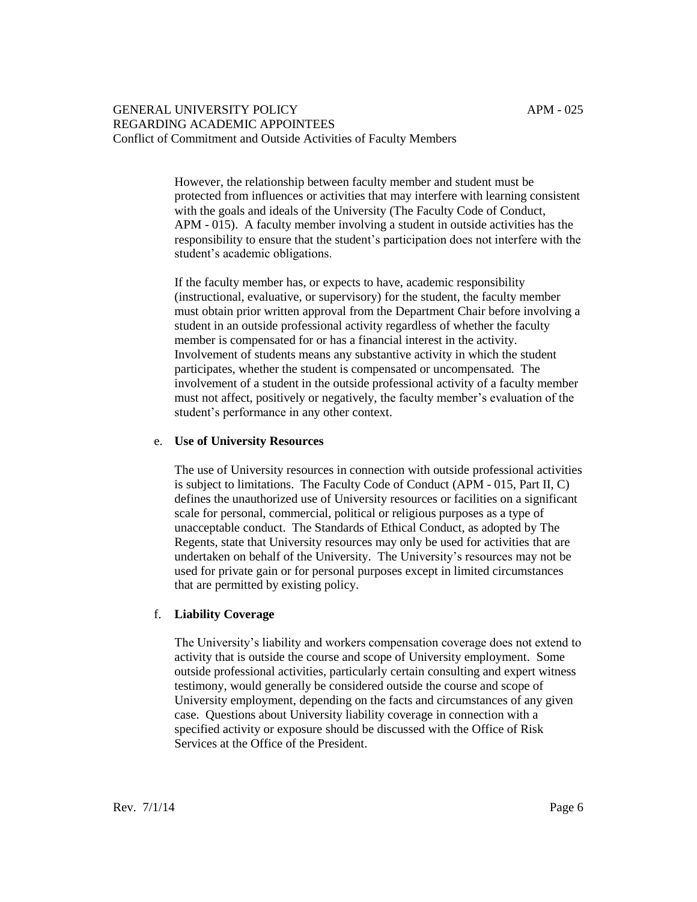However, the relationship between faculty member and student must be protected from influences or activities that may interfere with learning consistent with the goals and ideals of the University (The Faculty Code of Conduct, APM - 015). A faculty member involving a student in outside activities has the responsibility to ensure that the student's participation does not interfere with the student's academic obligations.

If the faculty member has, or expects to have, academic responsibility (instructional, evaluative, or supervisory) for the student, the faculty member must obtain prior written approval from the Department Chair before involving a student in an outside professional activity regardless of whether the faculty member is compensated for or has a financial interest in the activity. Involvement of students means any substantive activity in which the student participates, whether the student is compensated or uncompensated. The involvement of a student in the outside professional activity of a faculty member must not affect, positively or negatively, the faculty member's evaluation of the student's performance in any other context.

### e. **Use of University Resources**

The use of University resources in connection with outside professional activities is subject to limitations. The Faculty Code of Conduct (APM - 015, Part II, C) defines the unauthorized use of University resources or facilities on a significant scale for personal, commercial, political or religious purposes as a type of unacceptable conduct. The Standards of Ethical Conduct, as adopted by The Regents, state that University resources may only be used for activities that are undertaken on behalf of the University. The University's resources may not be used for private gain or for personal purposes except in limited circumstances that are permitted by existing policy.

# f. **Liability Coverage**

The University's liability and workers compensation coverage does not extend to activity that is outside the course and scope of University employment. Some outside professional activities, particularly certain consulting and expert witness testimony, would generally be considered outside the course and scope of University employment, depending on the facts and circumstances of any given case. Questions about University liability coverage in connection with a specified activity or exposure should be discussed with the Office of Risk Services at the Office of the President.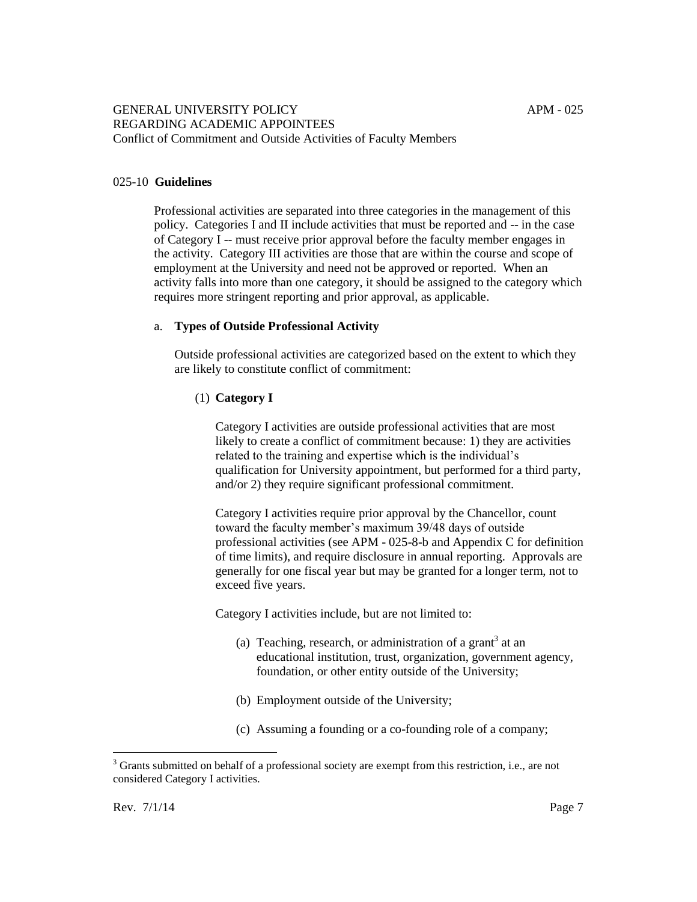# 025-10 **Guidelines**

Professional activities are separated into three categories in the management of this policy. Categories I and II include activities that must be reported and -- in the case of Category I -- must receive prior approval before the faculty member engages in the activity. Category III activities are those that are within the course and scope of employment at the University and need not be approved or reported. When an activity falls into more than one category, it should be assigned to the category which requires more stringent reporting and prior approval, as applicable.

## a. **Types of Outside Professional Activity**

Outside professional activities are categorized based on the extent to which they are likely to constitute conflict of commitment:

# (1) **Category I**

Category I activities are outside professional activities that are most likely to create a conflict of commitment because: 1) they are activities related to the training and expertise which is the individual's qualification for University appointment, but performed for a third party, and/or 2) they require significant professional commitment.

Category I activities require prior approval by the Chancellor, count toward the faculty member's maximum 39/48 days of outside professional activities (see APM - 025-8-b and Appendix C for definition of time limits), and require disclosure in annual reporting. Approvals are generally for one fiscal year but may be granted for a longer term, not to exceed five years.

Category I activities include, but are not limited to:

- (a) Teaching, research, or administration of a grant<sup>3</sup> at an educational institution, trust, organization, government agency, foundation, or other entity outside of the University;
- (b) Employment outside of the University;
- (c) Assuming a founding or a co-founding role of a company;

<sup>&</sup>lt;sup>3</sup> Grants submitted on behalf of a professional society are exempt from this restriction, i.e., are not considered Category I activities.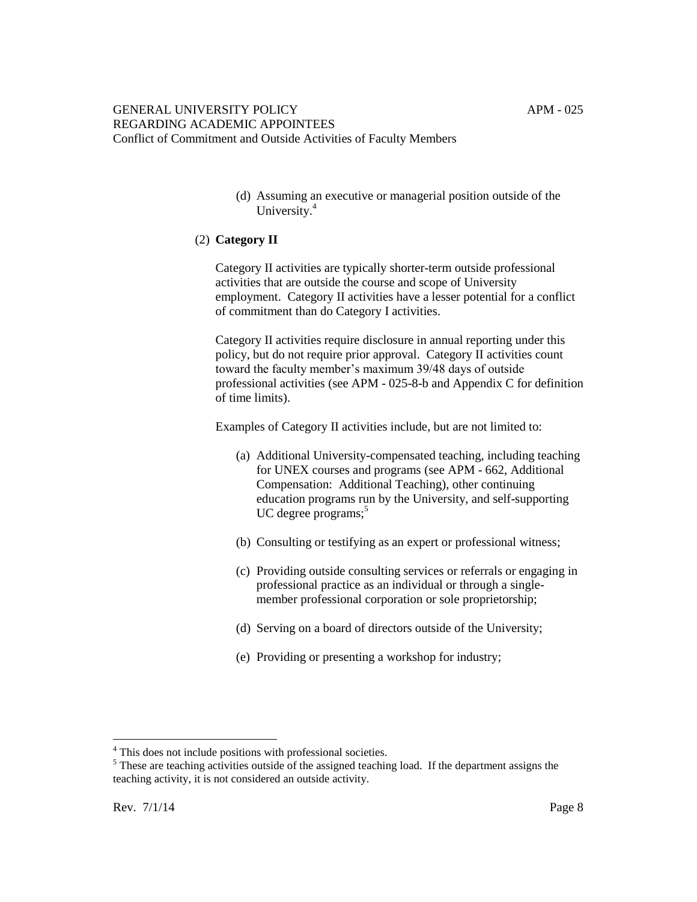(d) Assuming an executive or managerial position outside of the University.<sup>4</sup>

# (2) **Category II**

Category II activities are typically shorter-term outside professional activities that are outside the course and scope of University employment. Category II activities have a lesser potential for a conflict of commitment than do Category I activities.

Category II activities require disclosure in annual reporting under this policy, but do not require prior approval. Category II activities count toward the faculty member's maximum 39/48 days of outside professional activities (see APM - 025-8-b and Appendix C for definition of time limits).

Examples of Category II activities include, but are not limited to:

- (a) Additional University-compensated teaching, including teaching for UNEX courses and programs (see APM - 662, Additional Compensation: Additional Teaching), other continuing education programs run by the University, and self-supporting UC degree programs; $<sup>5</sup>$ </sup>
- (b) Consulting or testifying as an expert or professional witness;
- (c) Providing outside consulting services or referrals or engaging in professional practice as an individual or through a singlemember professional corporation or sole proprietorship;
- (d) Serving on a board of directors outside of the University;
- (e) Providing or presenting a workshop for industry;

<sup>&</sup>lt;sup>4</sup> This does not include positions with professional societies.

<sup>&</sup>lt;sup>5</sup> These are teaching activities outside of the assigned teaching load. If the department assigns the teaching activity, it is not considered an outside activity.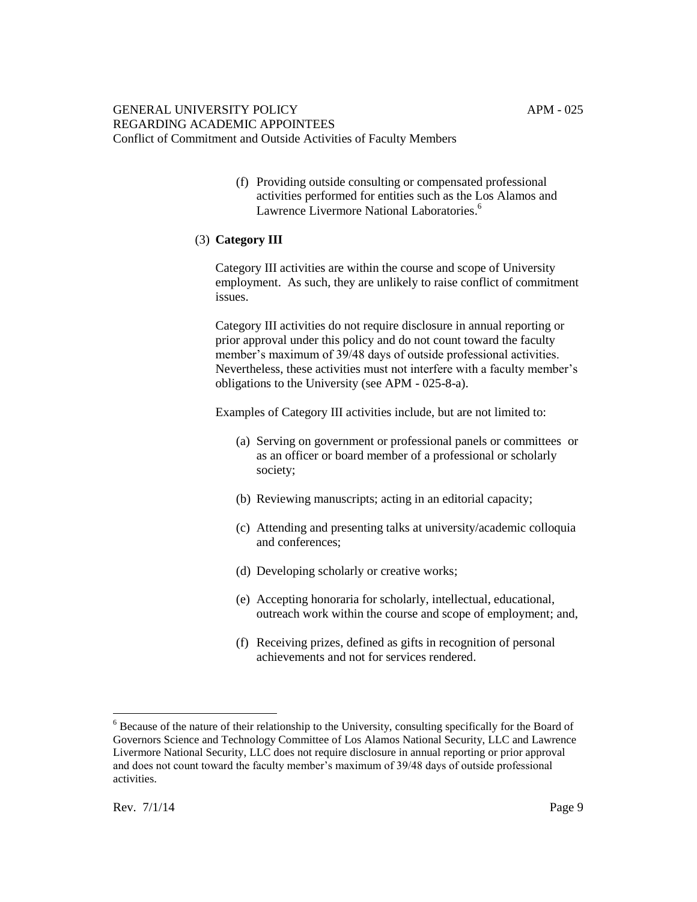(f) Providing outside consulting or compensated professional activities performed for entities such as the Los Alamos and Lawrence Livermore National Laboratories.<sup>6</sup>

# (3) **Category III**

Category III activities are within the course and scope of University employment. As such, they are unlikely to raise conflict of commitment issues.

Category III activities do not require disclosure in annual reporting or prior approval under this policy and do not count toward the faculty member's maximum of 39/48 days of outside professional activities. Nevertheless, these activities must not interfere with a faculty member's obligations to the University (see APM - 025-8-a).

Examples of Category III activities include, but are not limited to:

- (a) Serving on government or professional panels or committees or as an officer or board member of a professional or scholarly society;
- (b) Reviewing manuscripts; acting in an editorial capacity;
- (c) Attending and presenting talks at university/academic colloquia and conferences;
- (d) Developing scholarly or creative works;
- (e) Accepting honoraria for scholarly, intellectual, educational, outreach work within the course and scope of employment; and,
- (f) Receiving prizes, defined as gifts in recognition of personal achievements and not for services rendered.

<sup>&</sup>lt;sup>6</sup> Because of the nature of their relationship to the University, consulting specifically for the Board of Governors Science and Technology Committee of Los Alamos National Security, LLC and Lawrence Livermore National Security, LLC does not require disclosure in annual reporting or prior approval and does not count toward the faculty member's maximum of 39/48 days of outside professional activities.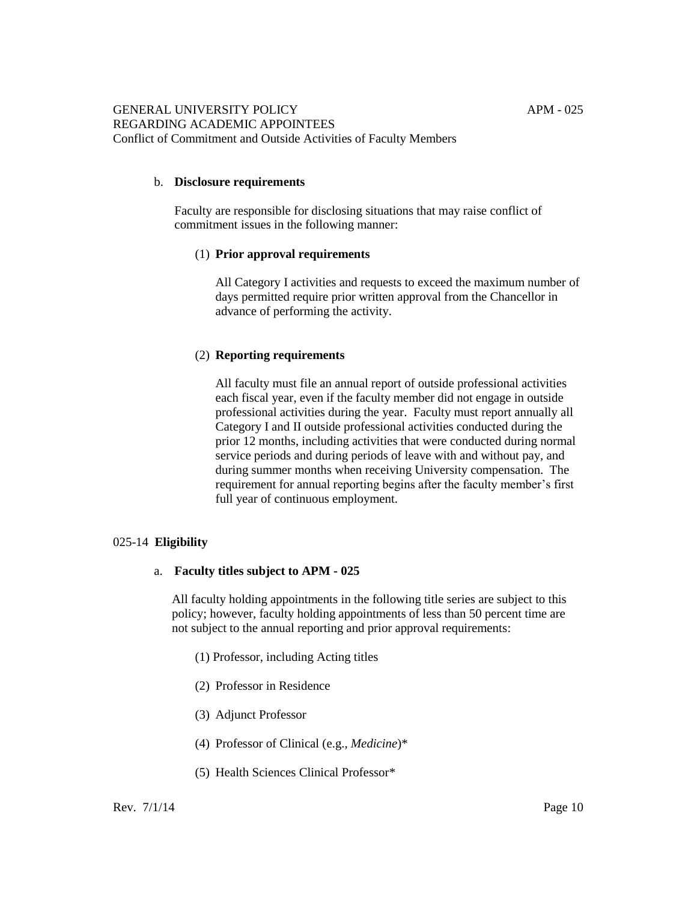## b. **Disclosure requirements**

Faculty are responsible for disclosing situations that may raise conflict of commitment issues in the following manner:

### (1) **Prior approval requirements**

All Category I activities and requests to exceed the maximum number of days permitted require prior written approval from the Chancellor in advance of performing the activity.

### (2) **Reporting requirements**

All faculty must file an annual report of outside professional activities each fiscal year, even if the faculty member did not engage in outside professional activities during the year. Faculty must report annually all Category I and II outside professional activities conducted during the prior 12 months, including activities that were conducted during normal service periods and during periods of leave with and without pay, and during summer months when receiving University compensation. The requirement for annual reporting begins after the faculty member's first full year of continuous employment.

# 025-14 **Eligibility**

#### a. **Faculty titles subject to APM - 025**

All faculty holding appointments in the following title series are subject to this policy; however, faculty holding appointments of less than 50 percent time are not subject to the annual reporting and prior approval requirements:

- (1) Professor, including Acting titles
- (2) Professor in Residence
- (3) Adjunct Professor
- (4) Professor of Clinical (e.g., *Medicine*)\*
- (5) Health Sciences Clinical Professor\*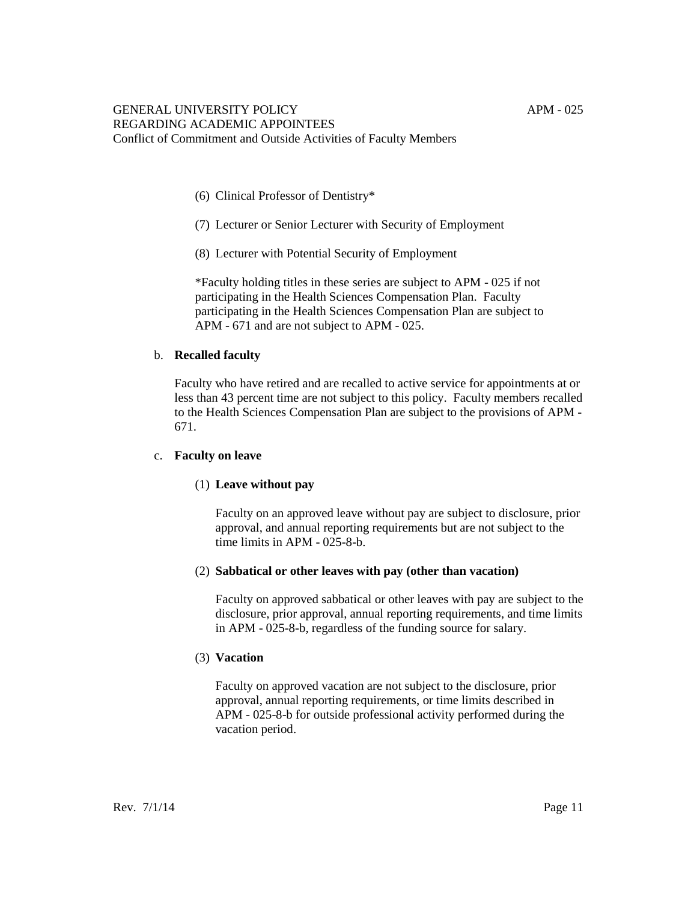- (6) Clinical Professor of Dentistry\*
- (7) Lecturer or Senior Lecturer with Security of Employment
- (8) Lecturer with Potential Security of Employment

\*Faculty holding titles in these series are subject to APM - 025 if not participating in the Health Sciences Compensation Plan. Faculty participating in the Health Sciences Compensation Plan are subject to APM - 671 and are not subject to APM - 025.

### b. **Recalled faculty**

Faculty who have retired and are recalled to active service for appointments at or less than 43 percent time are not subject to this policy. Faculty members recalled to the Health Sciences Compensation Plan are subject to the provisions of APM - 671.

#### c. **Faculty on leave**

#### (1) **Leave without pay**

Faculty on an approved leave without pay are subject to disclosure, prior approval, and annual reporting requirements but are not subject to the time limits in APM - 025-8-b.

#### (2) **Sabbatical or other leaves with pay (other than vacation)**

Faculty on approved sabbatical or other leaves with pay are subject to the disclosure, prior approval, annual reporting requirements, and time limits in APM - 025-8-b, regardless of the funding source for salary.

#### (3) **Vacation**

Faculty on approved vacation are not subject to the disclosure, prior approval, annual reporting requirements, or time limits described in APM - 025-8-b for outside professional activity performed during the vacation period.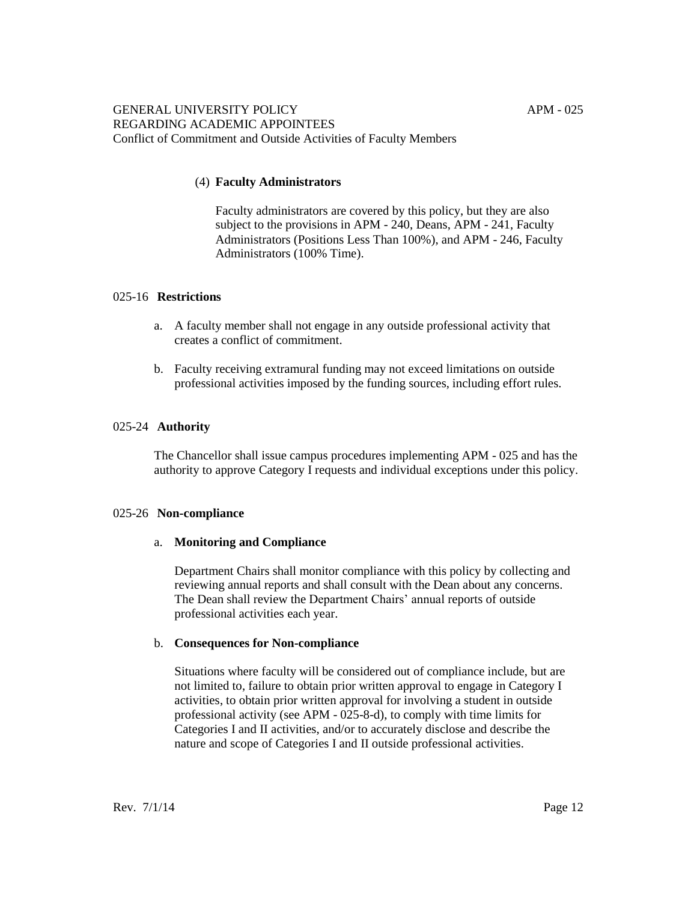# (4) **Faculty Administrators**

Faculty administrators are covered by this policy, but they are also subject to the provisions in APM - 240, Deans, APM - 241, Faculty Administrators (Positions Less Than 100%), and APM - 246, Faculty Administrators (100% Time).

# 025-16 **Restrictions**

- a. A faculty member shall not engage in any outside professional activity that creates a conflict of commitment.
- b. Faculty receiving extramural funding may not exceed limitations on outside professional activities imposed by the funding sources, including effort rules.

# 025-24 **Authority**

The Chancellor shall issue campus procedures implementing APM - 025 and has the authority to approve Category I requests and individual exceptions under this policy.

# 025-26 **Non-compliance**

# a. **Monitoring and Compliance**

Department Chairs shall monitor compliance with this policy by collecting and reviewing annual reports and shall consult with the Dean about any concerns. The Dean shall review the Department Chairs' annual reports of outside professional activities each year.

#### b. **Consequences for Non-compliance**

Situations where faculty will be considered out of compliance include, but are not limited to, failure to obtain prior written approval to engage in Category I activities, to obtain prior written approval for involving a student in outside professional activity (see APM - 025-8-d), to comply with time limits for Categories I and II activities, and/or to accurately disclose and describe the nature and scope of Categories I and II outside professional activities.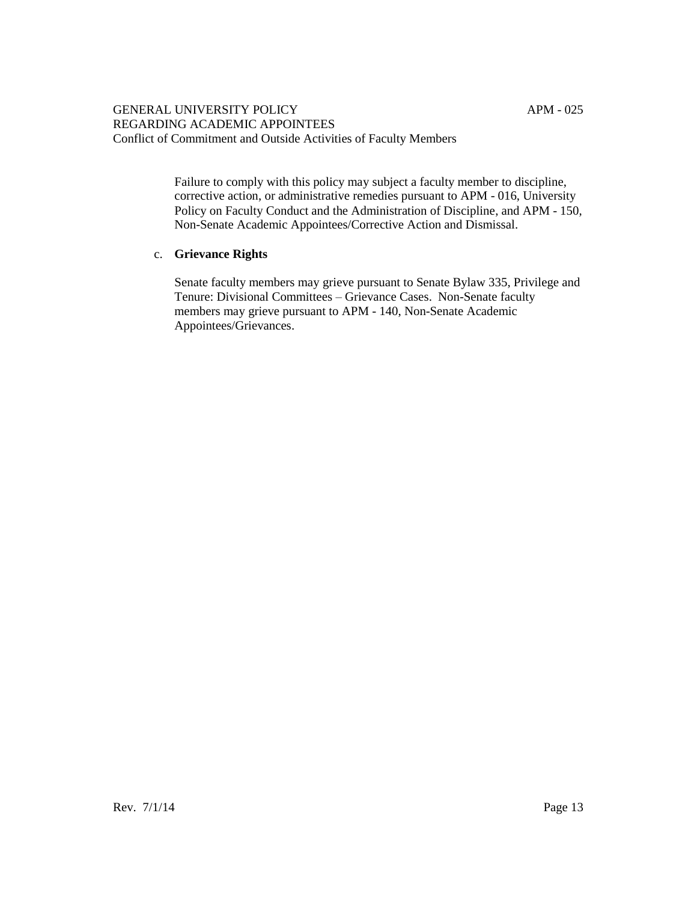Failure to comply with this policy may subject a faculty member to discipline, corrective action, or administrative remedies pursuant to APM - 016, University Policy on Faculty Conduct and the Administration of Discipline, and APM - 150, Non-Senate Academic Appointees/Corrective Action and Dismissal.

# c. **Grievance Rights**

Senate faculty members may grieve pursuant to Senate Bylaw 335, Privilege and Tenure: Divisional Committees – Grievance Cases. Non-Senate faculty members may grieve pursuant to APM - 140, Non-Senate Academic Appointees/Grievances.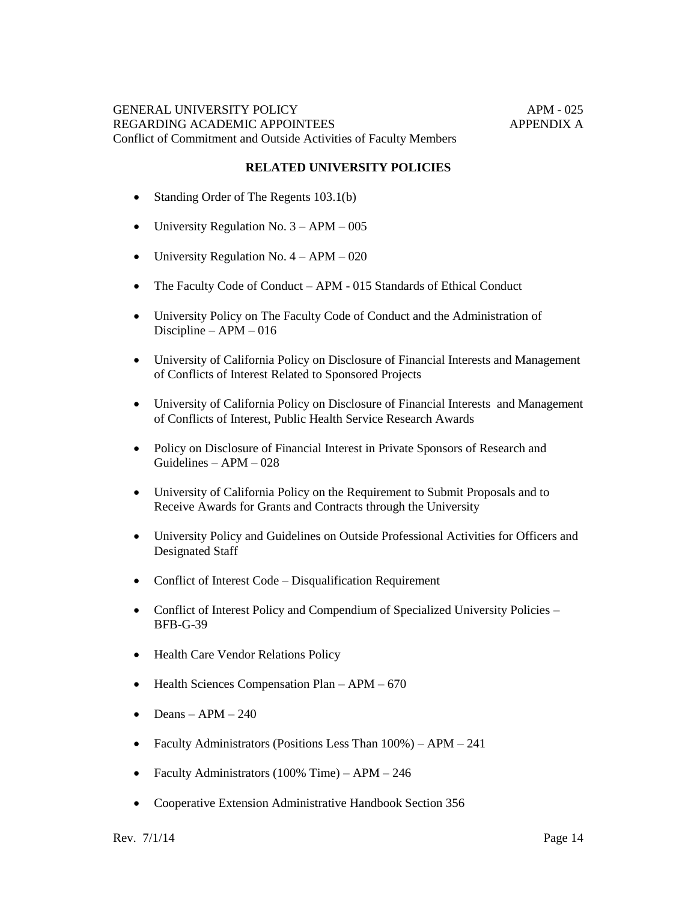### **RELATED UNIVERSITY POLICIES**

- Standing Order of The Regents 103.1(b)
- University Regulation No.  $3 APM 005$
- University Regulation No.  $4 APM 020$
- The Faculty Code of Conduct APM 015 Standards of Ethical Conduct
- University Policy on The Faculty Code of Conduct and the Administration of Discipline – APM – 016
- University of California Policy on Disclosure of Financial Interests and Management of Conflicts of Interest Related to Sponsored Projects
- University of California Policy on Disclosure of Financial Interests and Management of Conflicts of Interest, Public Health Service Research Awards
- Policy on Disclosure of Financial Interest in Private Sponsors of Research and Guidelines – APM – 028
- University of California Policy on the Requirement to Submit Proposals and to Receive Awards for Grants and Contracts through the University
- University Policy and Guidelines on Outside Professional Activities for Officers and Designated Staff
- Conflict of Interest Code Disqualification Requirement
- Conflict of Interest Policy and Compendium of Specialized University Policies BFB-G-39
- Health Care Vendor Relations Policy
- $\bullet$  Health Sciences Compensation Plan APM 670
- $\bullet$  Deans APM 240
- Faculty Administrators (Positions Less Than  $100\%$ ) APM 241
- Faculty Administrators (100% Time) APM 246
- Cooperative Extension Administrative Handbook Section 356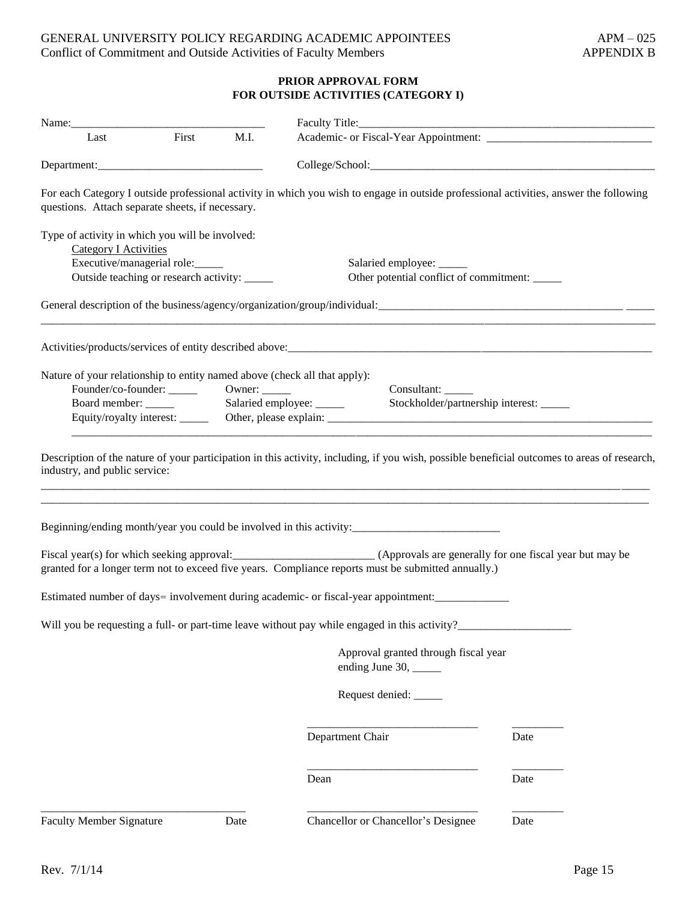# **PRIOR APPROVAL FORM FOR OUTSIDE ACTIVITIES (CATEGORY I)**

| Last                                                                            | First<br>M.I. |                                                                                                                                                                                                                     |      |  |  |  |
|---------------------------------------------------------------------------------|---------------|---------------------------------------------------------------------------------------------------------------------------------------------------------------------------------------------------------------------|------|--|--|--|
| Department:                                                                     |               |                                                                                                                                                                                                                     |      |  |  |  |
| questions. Attach separate sheets, if necessary.                                |               | For each Category I outside professional activity in which you wish to engage in outside professional activities, answer the following                                                                              |      |  |  |  |
| Type of activity in which you will be involved:<br><b>Category I Activities</b> |               |                                                                                                                                                                                                                     |      |  |  |  |
| Executive/managerial role:                                                      |               | Salaried employee: _____                                                                                                                                                                                            |      |  |  |  |
| Outside teaching or research activity: _____                                    |               | Other potential conflict of commitment: _____                                                                                                                                                                       |      |  |  |  |
|                                                                                 |               |                                                                                                                                                                                                                     |      |  |  |  |
|                                                                                 |               |                                                                                                                                                                                                                     |      |  |  |  |
| Nature of your relationship to entity named above (check all that apply):       |               |                                                                                                                                                                                                                     |      |  |  |  |
|                                                                                 |               | Consultant:                                                                                                                                                                                                         |      |  |  |  |
|                                                                                 |               | Stockholder/partnership interest: ____                                                                                                                                                                              |      |  |  |  |
|                                                                                 |               | Equity/royalty interest: Other, please explain:                                                                                                                                                                     |      |  |  |  |
|                                                                                 |               | Beginning/ending month/year you could be involved in this activity:________________________________                                                                                                                 |      |  |  |  |
|                                                                                 |               | Fiscal year(s) for which seeking approval:<br><u>(Approvals are generally</u> for one fiscal year but may be<br>granted for a longer term not to exceed five years. Compliance reports must be submitted annually.) |      |  |  |  |
|                                                                                 |               | Estimated number of days= involvement during academic- or fiscal-year appointment:                                                                                                                                  |      |  |  |  |
|                                                                                 |               | Will you be requesting a full- or part-time leave without pay while engaged in this activity?                                                                                                                       |      |  |  |  |
|                                                                                 |               | Approval granted through fiscal year<br>ending June 30, _____                                                                                                                                                       |      |  |  |  |
|                                                                                 |               | Request denied: _____                                                                                                                                                                                               |      |  |  |  |
|                                                                                 |               | Department Chair                                                                                                                                                                                                    | Date |  |  |  |
|                                                                                 |               | Dean                                                                                                                                                                                                                | Date |  |  |  |
| <b>Faculty Member Signature</b>                                                 | Date          | Chancellor or Chancellor's Designee                                                                                                                                                                                 | Date |  |  |  |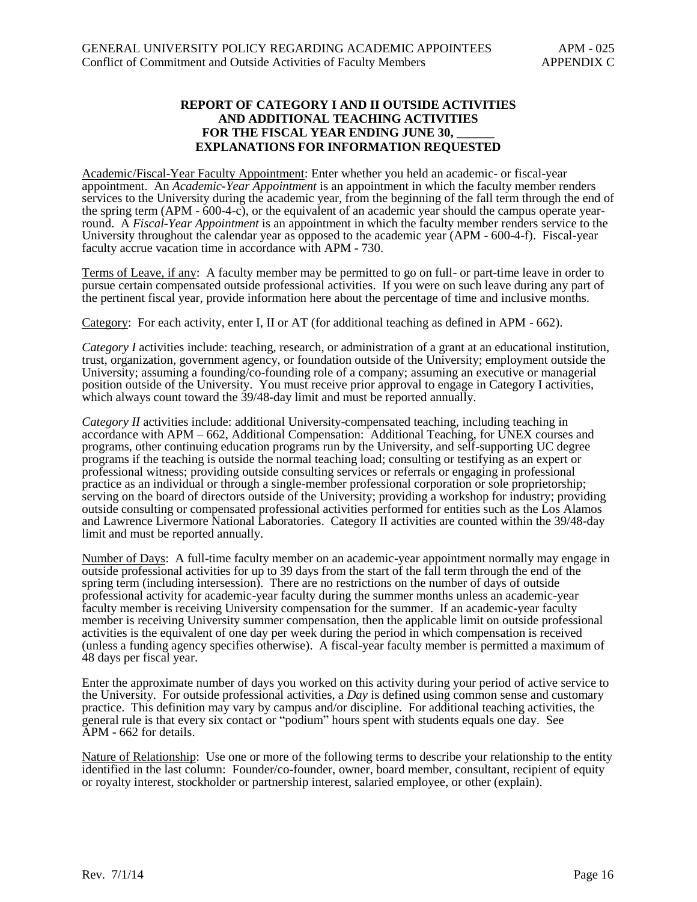# **REPORT OF CATEGORY I AND II OUTSIDE ACTIVITIES AND ADDITIONAL TEACHING ACTIVITIES** FOR THE FISCAL YEAR ENDING JUNE 30, **EXPLANATIONS FOR INFORMATION REQUESTED**

Academic/Fiscal-Year Faculty Appointment: Enter whether you held an academic- or fiscal-year appointment. An *Academic-Year Appointment* is an appointment in which the faculty member renders services to the University during the academic year, from the beginning of the fall term through the end of the spring term (APM - 600-4-c), or the equivalent of an academic year should the campus operate yearround. A *Fiscal-Year Appointment* is an appointment in which the faculty member renders service to the University throughout the calendar year as opposed to the academic year (APM - 600-4-f). Fiscal-year faculty accrue vacation time in accordance with APM - 730.

Terms of Leave, if any: A faculty member may be permitted to go on full- or part-time leave in order to pursue certain compensated outside professional activities. If you were on such leave during any part of the pertinent fiscal year, provide information here about the percentage of time and inclusive months.

Category: For each activity, enter I, II or AT (for additional teaching as defined in APM - 662).

*Category I* activities include: teaching, research, or administration of a grant at an educational institution, trust, organization, government agency, or foundation outside of the University; employment outside the University; assuming a founding/co-founding role of a company; assuming an executive or managerial position outside of the University. You must receive prior approval to engage in Category I activities, which always count toward the  $39/48$ -day limit and must be reported annually.

*Category II* activities include: additional University-compensated teaching, including teaching in accordance with APM – 662, Additional Compensation: Additional Teaching, for UNEX courses and programs, other continuing education programs run by the University, and self-supporting UC degree programs if the teaching is outside the normal teaching load; consulting or testifying as an expert or professional witness; providing outside consulting services or referrals or engaging in professional practice as an individual or through a single-member professional corporation or sole proprietorship; serving on the board of directors outside of the University; providing a workshop for industry; providing outside consulting or compensated professional activities performed for entities such as the Los Alamos and Lawrence Livermore National Laboratories. Category II activities are counted within the 39/48-day limit and must be reported annually.

Number of Days: A full-time faculty member on an academic-year appointment normally may engage in outside professional activities for up to 39 days from the start of the fall term through the end of the spring term (including intersession). There are no restrictions on the number of days of outside professional activity for academic-year faculty during the summer months unless an academic-year faculty member is receiving University compensation for the summer. If an academic-year faculty member is receiving University summer compensation, then the applicable limit on outside professional activities is the equivalent of one day per week during the period in which compensation is received (unless a funding agency specifies otherwise). A fiscal-year faculty member is permitted a maximum of 48 days per fiscal year.

Enter the approximate number of days you worked on this activity during your period of active service to the University. For outside professional activities, a *Day* is defined using common sense and customary practice. This definition may vary by campus and/or discipline. For additional teaching activities, the general rule is that every six contact or "podium" hours spent with students equals one day. See APM - 662 for details.

Nature of Relationship: Use one or more of the following terms to describe your relationship to the entity identified in the last column: Founder/co-founder, owner, board member, consultant, recipient of equity or royalty interest, stockholder or partnership interest, salaried employee, or other (explain).